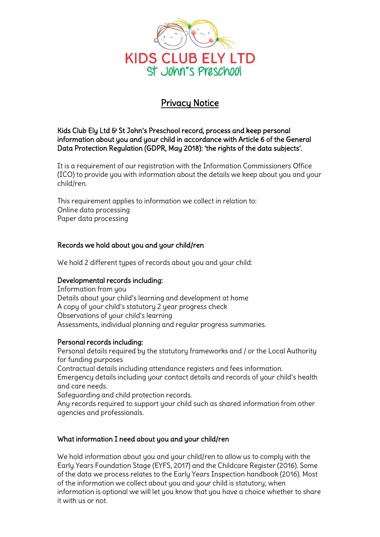

# Privacy Notice

## Kids Club Ely Ltd & St John's Preschool record, process and keep personal information about you and your child in accordance with Article 6 of the General Data Protection Regulation (GDPR, May 2018): 'the rights of the data subjects'.

It is a requirement of our registration with the Information Commissioners Office (ICO) to provide you with information about the details we keep about you and your child/ren.

This requirement applies to information we collect in relation to: Online data processing Paper data processing

## Records we hold about you and your child/ren

We hold 2 different types of records about you and your child:

## Developmental records including:

Information from you Details about your child's learning and development at home A copy of your child's statutory 2 year progress check Observations of your child's learning Assessments, individual planning and regular progress summaries.

#### Personal records including:

Personal details required by the statutory frameworks and / or the Local Authority for funding purposes

Contractual details including attendance registers and fees information. Emergency details including your contact details and records of your child's health and care needs.

Safeguarding and child protection records.

Any records required to support your child such as shared information from other agencies and professionals.

## What information I need about you and your child/ren

We hold information about you and your child/ren to allow us to comply with the Early Years Foundation Stage (EYFS, 2017) and the Childcare Register (2016). Some of the data we process relates to the Early Years Inspection handbook (2016). Most of the information we collect about you and your child is statutory; when information is optional we will let you know that you have a choice whether to share it with us or not.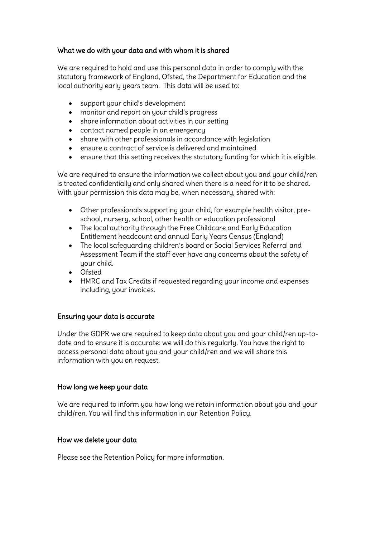## What we do with your data and with whom it is shared

We are required to hold and use this personal data in order to complu with the statutory framework of England, Ofsted, the Department for Education and the local authority early years team. This data will be used to:

- support your child's development
- monitor and report on your child's progress
- share information about activities in our setting
- contact named people in an emergency
- share with other professionals in accordance with legislation
- ensure a contract of service is delivered and maintained
- ensure that this setting receives the statutory funding for which it is eligible.

We are required to ensure the information we collect about you and your child/ren is treated confidentially and only shared when there is a need for it to be shared. With your permission this data may be, when necessary, shared with:

- Other professionals supporting your child, for example health visitor, preschool, nursery, school, other health or education professional
- The local authority through the Free Childcare and Early Education Entitlement headcount and annual Early Years Census (England)
- The local safeguarding children's board or Social Services Referral and Assessment Team if the staff ever have any concerns about the safety of uour child.
- Ofsted
- HMRC and Tax Credits if requested regarding your income and expenses including, your invoices.

#### Ensuring your data is accurate

Under the GDPR we are required to keep data about you and your child/ren up-todate and to ensure it is accurate: we will do this regularly. You have the right to access personal data about you and your child/ren and we will share this information with you on request.

#### How long we keep your data

We are required to inform you how long we retain information about you and your child/ren. You will find this information in our Retention Policy.

#### How we delete your data

Please see the Retention Policy for more information.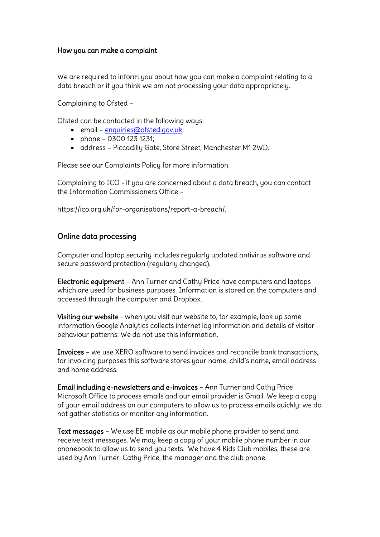## How you can make a complaint

We are required to inform you about how you can make a complaint relating to a data breach or if you think we am not processing your data appropriately.

Complaining to Ofsted –

Ofsted can be contacted in the following ways:

- email [enquiries@ofsted.gov.uk;](mailto:enquiries@ofsted.gov.uk)
- $\bullet$  phone 0300 123 1231;
- address Piccadilly Gate, Store Street, Manchester M1 2WD.

Please see our Complaints Policy for more information.

Complaining to ICO - if you are concerned about a data breach, you can contact the Information Commissioners Office –

https://ico.org.uk/for-organisations/report-a-breach/.

# Online data processing

Computer and laptop security includes regularly updated antivirus software and secure password protection (regularly changed).

Electronic equipment – Ann Turner and Cathy Price have computers and laptops which are used for business purposes. Information is stored on the computers and accessed through the computer and Dropbox.

Visiting our website - when you visit our website to, for example, look up some information Google Analytics collects internet log information and details of visitor behaviour patterns: We do not use this information.

Invoices – we use XERO software to send invoices and reconcile bank transactions, for invoicing purposes this software stores your name, child's name, email address and home address.

Email including e-newsletters and e-invoices – Ann Turner and Cathy Price Microsoft Office to process emails and our email provider is Gmail. We keep a copy of your email address on our computers to allow us to process emails quickly: we do not gather statistics or monitor any information.

Text messages – We use EE mobile as our mobile phone provider to send and receive text messages. We may keep a copy of your mobile phone number in our phonebook to allow us to send you texts. We have 4 Kids Club mobiles, these are used by Ann Turner, Cathy Price, the manager and the club phone.